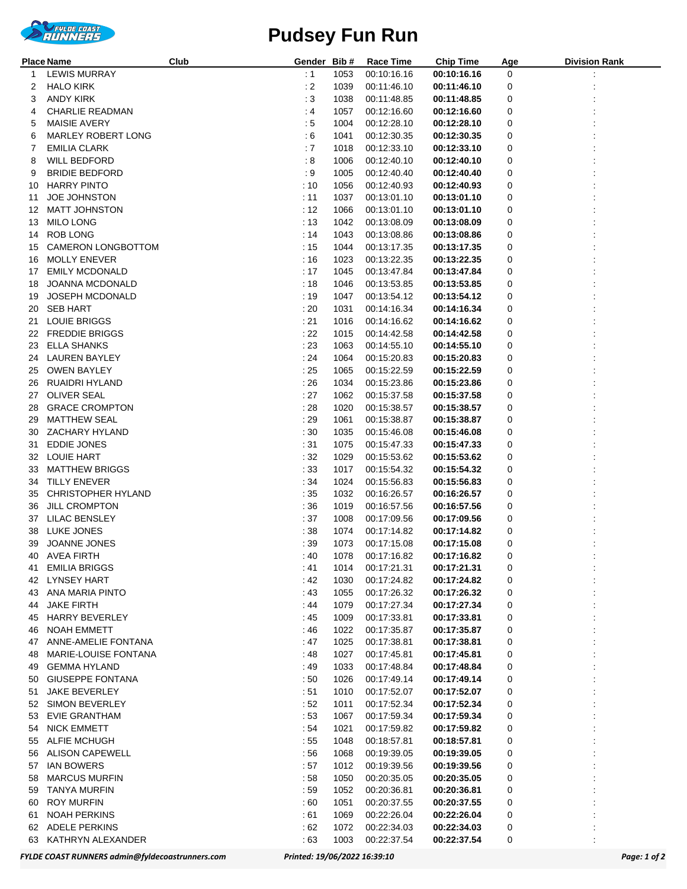

## **Pudsey Fun Run**

|    | Place Name<br>Club          | Gender Bib#     |      | Race Time        | <b>Chip Time</b> | Age | <b>Division Rank</b> |
|----|-----------------------------|-----------------|------|------------------|------------------|-----|----------------------|
| 1  | <b>LEWIS MURRAY</b>         | : 1             | 1053 | 00:10:16.16      | 00:10:16.16      | 0   |                      |
| 2  | <b>HALO KIRK</b>            | : 2             | 1039 | 00:11:46.10      | 00:11:46.10      | 0   |                      |
| З  | ANDY KIRK                   | $\therefore$ 3  | 1038 | 00:11:48.85      | 00:11:48.85      | 0   |                      |
| 4  | <b>CHARLIE READMAN</b>      | $\cdot$ 4       | 1057 | 00:12:16.60      | 00:12:16.60      | 0   |                      |
| 5  | MAISIE AVERY                | $\therefore$ 5  | 1004 | 00:12:28.10      | 00:12:28.10      | 0   |                      |
| 6  | <b>MARLEY ROBERT LONG</b>   | $\therefore$ 6  | 1041 | 00:12:30.35      | 00:12:30.35      | 0   |                      |
| 7  | <b>EMILIA CLARK</b>         | :7              | 1018 | 00:12:33.10      | 00:12:33.10      | 0   |                      |
| 8  | <b>WILL BEDFORD</b>         | :8              | 1006 | 00:12:40.10      | 00:12:40.10      | 0   |                      |
| 9  | <b>BRIDIE BEDFORD</b>       | : 9             | 1005 | 00:12:40.40      | 00:12:40.40      | 0   |                      |
| 10 | <b>HARRY PINTO</b>          | :10             | 1056 | 00:12:40.93      | 00:12:40.93      | 0   |                      |
| 11 | <b>JOE JOHNSTON</b>         | : 11            | 1037 | 00:13:01.10      | 00:13:01.10      | 0   |                      |
| 12 | <b>MATT JOHNSTON</b>        | : 12            | 1066 | 00:13:01.10      | 00:13:01.10      | 0   |                      |
| 13 | <b>MILO LONG</b>            | : 13            | 1042 | 00:13:08.09      | 00:13:08.09      | 0   |                      |
| 14 | ROB LONG                    | :14             | 1043 | 00:13:08.86      | 00:13:08.86      | 0   |                      |
| 15 | CAMERON LONGBOTTOM          | :15             | 1044 | 00:13:17.35      | 00:13:17.35      | 0   |                      |
| 16 | <b>MOLLY ENEVER</b>         | :16             | 1023 | 00:13:22.35      | 00:13:22.35      | 0   |                      |
| 17 | <b>EMILY MCDONALD</b>       | :17             | 1045 | 00:13:47.84      | 00:13:47.84      | 0   |                      |
| 18 | <b>JOANNA MCDONALD</b>      | :18             | 1046 | 00:13:53.85      | 00:13:53.85      | 0   |                      |
| 19 | JOSEPH MCDONALD             | : 19            | 1047 | 00:13:54.12      | 00:13:54.12      | 0   |                      |
| 20 | <b>SEB HART</b>             | : 20            | 1031 | 00:14:16.34      | 00:14:16.34      | 0   |                      |
| 21 | <b>LOUIE BRIGGS</b>         | : 21            | 1016 | 00:14:16.62      | 00:14:16.62      | 0   |                      |
| 22 | <b>FREDDIE BRIGGS</b>       | :22             | 1015 | 00:14:42.58      | 00:14:42.58      | 0   |                      |
| 23 | ELLA SHANKS                 | : 23            | 1063 | 00:14:55.10      | 00:14:55.10      | 0   |                      |
| 24 | <b>LAUREN BAYLEY</b>        | : 24            | 1064 | 00:15:20.83      | 00:15:20.83      | 0   |                      |
| 25 | <b>OWEN BAYLEY</b>          | : 25            | 1065 | 00:15:22.59      | 00:15:22.59      | 0   |                      |
| 26 | RUAIDRI HYLAND              | :26             | 1034 | 00:15:23.86      | 00:15:23.86      | 0   |                      |
|    | 27 OLIVER SEAL              | :27             | 1062 | 00:15:37.58      | 00:15:37.58      | 0   |                      |
| 28 | <b>GRACE CROMPTON</b>       | : 28            | 1020 | 00:15:38.57      | 00:15:38.57      | 0   |                      |
| 29 | <b>MATTHEW SEAL</b>         | : 29            | 1061 | 00:15:38.87      | 00:15:38.87      | 0   |                      |
| 30 | ZACHARY HYLAND              | :30             | 1035 | 00:15:46.08      | 00:15:46.08      | 0   |                      |
| 31 | <b>EDDIE JONES</b>          | :31             | 1075 | 00:15:47.33      | 00:15:47.33      | 0   |                      |
|    | 32 LOUIE HART               | :32             | 1029 | 00:15:53.62      | 00:15:53.62      | 0   |                      |
| 33 | <b>MATTHEW BRIGGS</b>       | :33             | 1017 | 00:15:54.32      | 00:15:54.32      | 0   |                      |
| 34 | TILLY ENEVER                | : 34            | 1024 | 00:15:56.83      | 00:15:56.83      | 0   |                      |
| 35 | <b>CHRISTOPHER HYLAND</b>   | $\therefore$ 35 | 1032 | 00:16:26.57      | 00:16:26.57      | 0   |                      |
| 36 | <b>JILL CROMPTON</b>        | :36             | 1019 | 00:16:57.56      | 00:16:57.56      | 0   |                      |
|    | 37 LILAC BENSLEY            | : 37            | 1008 | 00:17:09.56      | 00:17:09.56      | 0   |                      |
|    | 38 LUKE JONES               | : 38            | 1074 | 00:17:14.82      | 00:17:14.82      | 0   |                      |
|    | 39 JOANNE JONES             | $\cdot$ 39      | 1073 | 00:17:15.08      | 00:17:15.08      | 0   |                      |
|    | 40 AVEA FIRTH               | :40             |      | 1078 00:17:16.82 | 00:17:16.82      | 0   |                      |
| 41 | <b>EMILIA BRIGGS</b>        | : 41            | 1014 | 00:17:21.31      | 00:17:21.31      | 0   |                      |
|    | 42 LYNSEY HART              | : 42            | 1030 | 00:17:24.82      | 00:17:24.82      | 0   |                      |
| 43 | ANA MARIA PINTO             | :43             | 1055 | 00:17:26.32      | 00:17:26.32      | 0   |                      |
| 44 | JAKE FIRTH                  | : 44            | 1079 | 00:17:27.34      | 00:17:27.34      | 0   |                      |
| 45 | <b>HARRY BEVERLEY</b>       | :45             | 1009 | 00:17:33.81      | 00:17:33.81      | 0   |                      |
| 46 | NOAH EMMETT                 | : 46            | 1022 | 00:17:35.87      | 00:17:35.87      | 0   |                      |
|    | 47 ANNE-AMELIE FONTANA      | :47             | 1025 | 00:17:38.81      | 00:17:38.81      | 0   |                      |
| 48 | <b>MARIE-LOUISE FONTANA</b> | :48             | 1027 | 00:17:45.81      | 00:17:45.81      | 0   |                      |
| 49 | <b>GEMMA HYLAND</b>         | : 49            | 1033 | 00:17:48.84      | 00:17:48.84      | 0   |                      |
|    | 50 GIUSEPPE FONTANA         | : 50            | 1026 | 00:17:49.14      | 00:17:49.14      | 0   |                      |
| 51 | <b>JAKE BEVERLEY</b>        | :51             | 1010 | 00:17:52.07      | 00:17:52.07      | 0   |                      |
|    | 52 SIMON BEVERLEY           | : 52            | 1011 | 00:17:52.34      | 00:17:52.34      | 0   |                      |
| 53 | EVIE GRANTHAM               | : 53            | 1067 | 00:17:59.34      | 00:17:59.34      | 0   |                      |
| 54 | <b>NICK EMMETT</b>          | :54             | 1021 | 00:17:59.82      | 00:17:59.82      | 0   |                      |
|    | 55 ALFIE MCHUGH             | : 55            | 1048 | 00:18:57.81      | 00:18:57.81      | 0   |                      |
|    | 56 ALISON CAPEWELL          | : 56            | 1068 | 00:19:39.05      | 00:19:39.05      | 0   |                      |
| 57 | <b>IAN BOWERS</b>           | :57             | 1012 | 00:19:39.56      | 00:19:39.56      | 0   |                      |
|    | 58 MARCUS MURFIN            | : 58            | 1050 | 00:20:35.05      | 00:20:35.05      | 0   |                      |
| 59 | TANYA MURFIN                | : 59            | 1052 | 00:20:36.81      | 00:20:36.81      | 0   |                      |
| 60 | <b>ROY MURFIN</b>           | : 60            | 1051 | 00:20:37.55      | 00:20:37.55      | 0   |                      |
| 61 | NOAH PERKINS                | : 61            | 1069 | 00:22:26.04      | 00:22:26.04      | 0   |                      |
|    | 62 ADELE PERKINS            | : 62            | 1072 | 00:22:34.03      | 00:22:34.03      | 0   |                      |
|    | 63 KATHRYN ALEXANDER        | : 63            | 1003 | 00:22:37.54      | 00:22:37.54      | 0   |                      |

*FYLDE COAST RUNNERS admin@fyldecoastrunners.com Printed: 19/06/2022 16:39:10 Page: 1 of 2*